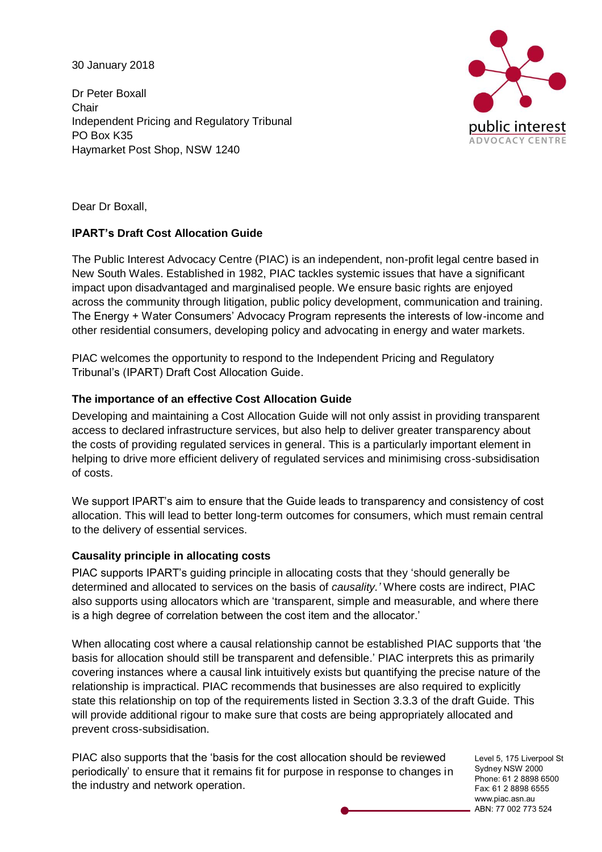30 January 2018

Dr Peter Boxall **Chair** Independent Pricing and Regulatory Tribunal PO Box K35 Haymarket Post Shop, NSW 1240



Dear Dr Boxall,

## **IPART's Draft Cost Allocation Guide**

The Public Interest Advocacy Centre (PIAC) is an independent, non-profit legal centre based in New South Wales. Established in 1982, PIAC tackles systemic issues that have a significant impact upon disadvantaged and marginalised people. We ensure basic rights are enjoyed across the community through litigation, public policy development, communication and training. The Energy + Water Consumers' Advocacy Program represents the interests of low-income and other residential consumers, developing policy and advocating in energy and water markets.

PIAC welcomes the opportunity to respond to the Independent Pricing and Regulatory Tribunal's (IPART) Draft Cost Allocation Guide.

## **The importance of an effective Cost Allocation Guide**

Developing and maintaining a Cost Allocation Guide will not only assist in providing transparent access to declared infrastructure services, but also help to deliver greater transparency about the costs of providing regulated services in general. This is a particularly important element in helping to drive more efficient delivery of regulated services and minimising cross-subsidisation of costs.

We support IPART's aim to ensure that the Guide leads to transparency and consistency of cost allocation. This will lead to better long-term outcomes for consumers, which must remain central to the delivery of essential services.

# **Causality principle in allocating costs**

PIAC supports IPART's guiding principle in allocating costs that they 'should generally be determined and allocated to services on the basis of *causality.'* Where costs are indirect, PIAC also supports using allocators which are 'transparent, simple and measurable, and where there is a high degree of correlation between the cost item and the allocator.'

When allocating cost where a causal relationship cannot be established PIAC supports that 'the basis for allocation should still be transparent and defensible.' PIAC interprets this as primarily covering instances where a causal link intuitively exists but quantifying the precise nature of the relationship is impractical. PIAC recommends that businesses are also required to explicitly state this relationship on top of the requirements listed in Section 3.3.3 of the draft Guide. This will provide additional rigour to make sure that costs are being appropriately allocated and prevent cross-subsidisation.

PIAC also supports that the 'basis for the cost allocation should be reviewed periodically' to ensure that it remains fit for purpose in response to changes in the industry and network operation.

Level 5, 175 Liverpool St Sydney NSW 2000 Phone: 61 2 8898 6500 Fax: 61 2 8898 6555 www.piac.asn.au ABN: 77 002 773 524